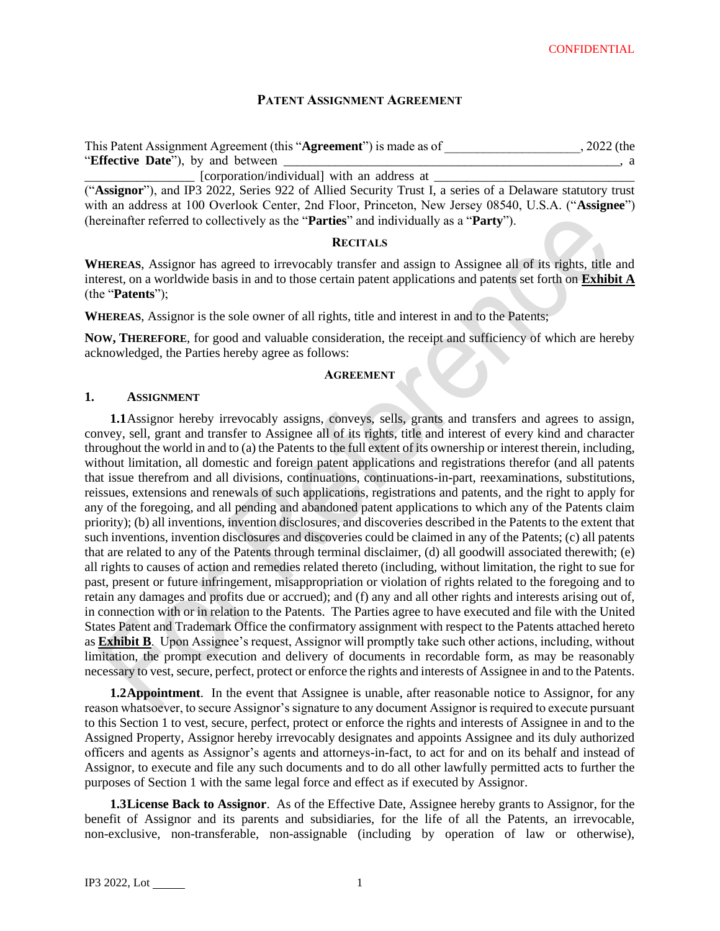# **PATENT ASSIGNMENT AGREEMENT**

| This Patent Assignment Agreement (this "Agreement") is made as of | $, 2022$ (the |
|-------------------------------------------------------------------|---------------|
| "Effective Date", by and between                                  | . a           |
| [corporation/individual] with an address at                       |               |

("**Assignor**"), and IP3 2022, Series 922 of Allied Security Trust I, a series of a Delaware statutory trust with an address at 100 Overlook Center, 2nd Floor, Princeton, New Jersey 08540, U.S.A. ("**Assignee**") (hereinafter referred to collectively as the "**Parties**" and individually as a "**Party**").

### **RECITALS**

**WHEREAS**, Assignor has agreed to irrevocably transfer and assign to Assignee all of its rights, title and interest, on a worldwide basis in and to those certain patent applications and patents set forth on **Exhibit A** (the "**Patents**");

**WHEREAS**, Assignor is the sole owner of all rights, title and interest in and to the Patents;

**NOW, THEREFORE**, for good and valuable consideration, the receipt and sufficiency of which are hereby acknowledged, the Parties hereby agree as follows:

### **AGREEMENT**

### **1. ASSIGNMENT**

**1.1**Assignor hereby irrevocably assigns, conveys, sells, grants and transfers and agrees to assign, convey, sell, grant and transfer to Assignee all of its rights, title and interest of every kind and character throughout the world in and to (a) the Patents to the full extent of its ownership or interest therein, including, without limitation, all domestic and foreign patent applications and registrations therefor (and all patents that issue therefrom and all divisions, continuations, continuations-in-part, reexaminations, substitutions, reissues, extensions and renewals of such applications, registrations and patents, and the right to apply for any of the foregoing, and all pending and abandoned patent applications to which any of the Patents claim priority); (b) all inventions, invention disclosures, and discoveries described in the Patents to the extent that such inventions, invention disclosures and discoveries could be claimed in any of the Patents; (c) all patents that are related to any of the Patents through terminal disclaimer, (d) all goodwill associated therewith; (e) all rights to causes of action and remedies related thereto (including, without limitation, the right to sue for past, present or future infringement, misappropriation or violation of rights related to the foregoing and to retain any damages and profits due or accrued); and (f) any and all other rights and interests arising out of, in connection with or in relation to the Patents. The Parties agree to have executed and file with the United States Patent and Trademark Office the confirmatory assignment with respect to the Patents attached hereto as **Exhibit B**. Upon Assignee's request, Assignor will promptly take such other actions, including, without limitation, the prompt execution and delivery of documents in recordable form, as may be reasonably necessary to vest, secure, perfect, protect or enforce the rights and interests of Assignee in and to the Patents.

**1.2Appointment**. In the event that Assignee is unable, after reasonable notice to Assignor, for any reason whatsoever, to secure Assignor's signature to any document Assignor is required to execute pursuant to this Section 1 to vest, secure, perfect, protect or enforce the rights and interests of Assignee in and to the Assigned Property, Assignor hereby irrevocably designates and appoints Assignee and its duly authorized officers and agents as Assignor's agents and attorneys-in-fact, to act for and on its behalf and instead of Assignor, to execute and file any such documents and to do all other lawfully permitted acts to further the purposes of Section 1 with the same legal force and effect as if executed by Assignor.

**1.3License Back to Assignor**. As of the Effective Date, Assignee hereby grants to Assignor, for the benefit of Assignor and its parents and subsidiaries, for the life of all the Patents, an irrevocable, non-exclusive, non-transferable, non-assignable (including by operation of law or otherwise),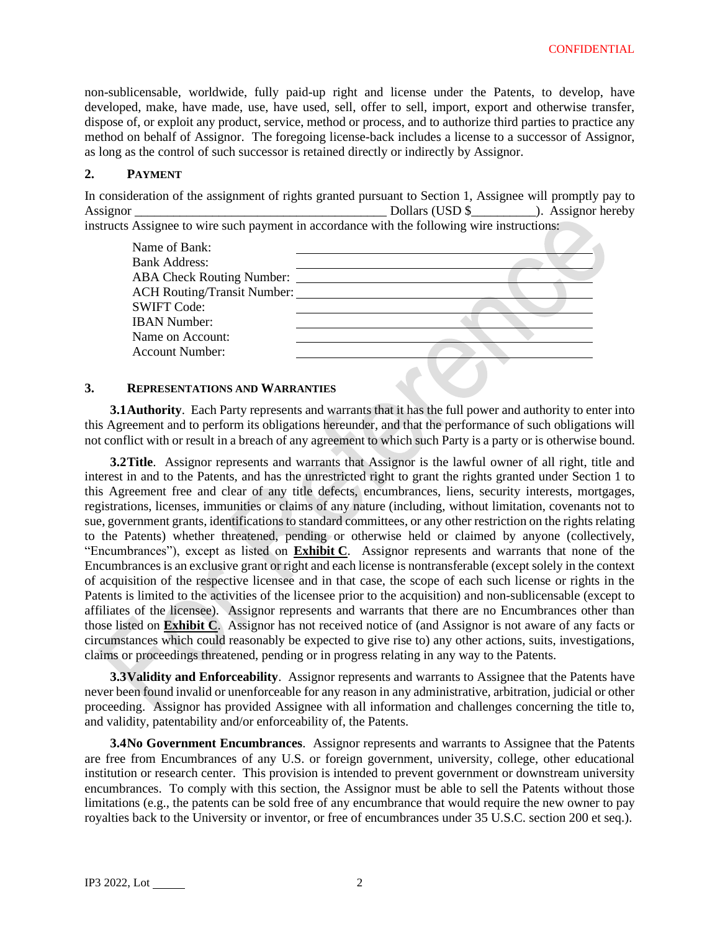non-sublicensable, worldwide, fully paid-up right and license under the Patents, to develop, have developed, make, have made, use, have used, sell, offer to sell, import, export and otherwise transfer, dispose of, or exploit any product, service, method or process, and to authorize third parties to practice any method on behalf of Assignor. The foregoing license-back includes a license to a successor of Assignor, as long as the control of such successor is retained directly or indirectly by Assignor.

### **2. PAYMENT**

In consideration of the assignment of rights granted pursuant to Section 1, Assignee will promptly pay to Assignor \_\_\_\_\_\_\_\_\_\_\_\_\_\_\_\_\_\_\_\_\_\_\_\_\_\_\_\_\_\_\_\_\_\_\_\_\_\_\_ Dollars (USD \$\_\_\_\_\_\_\_\_\_\_). Assignor hereby instructs Assignee to wire such payment in accordance with the following wire instructions:



### **3. REPRESENTATIONS AND WARRANTIES**

**3.1Authority**. Each Party represents and warrants that it has the full power and authority to enter into this Agreement and to perform its obligations hereunder, and that the performance of such obligations will not conflict with or result in a breach of any agreement to which such Party is a party or is otherwise bound.

**3.2Title**. Assignor represents and warrants that Assignor is the lawful owner of all right, title and interest in and to the Patents, and has the unrestricted right to grant the rights granted under Section 1 to this Agreement free and clear of any title defects, encumbrances, liens, security interests, mortgages, registrations, licenses, immunities or claims of any nature (including, without limitation, covenants not to sue, government grants, identifications to standard committees, or any other restriction on the rights relating to the Patents) whether threatened, pending or otherwise held or claimed by anyone (collectively, "Encumbrances"), except as listed on **Exhibit C**. Assignor represents and warrants that none of the Encumbrances is an exclusive grant or right and each license is nontransferable (except solely in the context of acquisition of the respective licensee and in that case, the scope of each such license or rights in the Patents is limited to the activities of the licensee prior to the acquisition) and non-sublicensable (except to affiliates of the licensee). Assignor represents and warrants that there are no Encumbrances other than those listed on **Exhibit C**. Assignor has not received notice of (and Assignor is not aware of any facts or circumstances which could reasonably be expected to give rise to) any other actions, suits, investigations, claims or proceedings threatened, pending or in progress relating in any way to the Patents.

**3.3Validity and Enforceability**.Assignor represents and warrants to Assignee that the Patents have never been found invalid or unenforceable for any reason in any administrative, arbitration, judicial or other proceeding. Assignor has provided Assignee with all information and challenges concerning the title to, and validity, patentability and/or enforceability of, the Patents.

**3.4No Government Encumbrances**. Assignor represents and warrants to Assignee that the Patents are free from Encumbrances of any U.S. or foreign government, university, college, other educational institution or research center. This provision is intended to prevent government or downstream university encumbrances. To comply with this section, the Assignor must be able to sell the Patents without those limitations (e.g., the patents can be sold free of any encumbrance that would require the new owner to pay royalties back to the University or inventor, or free of encumbrances under 35 U.S.C. section 200 et seq.).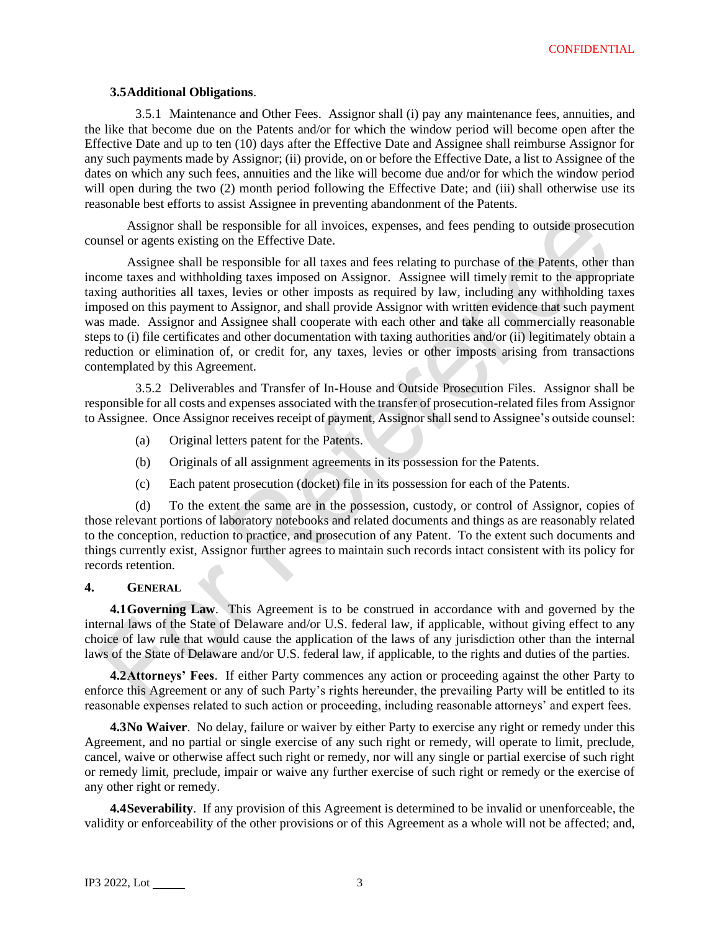### **3.5Additional Obligations**.

3.5.1 Maintenance and Other Fees. Assignor shall (i) pay any maintenance fees, annuities, and the like that become due on the Patents and/or for which the window period will become open after the Effective Date and up to ten (10) days after the Effective Date and Assignee shall reimburse Assignor for any such payments made by Assignor; (ii) provide, on or before the Effective Date, a list to Assignee of the dates on which any such fees, annuities and the like will become due and/or for which the window period will open during the two (2) month period following the Effective Date; and (iii) shall otherwise use its reasonable best efforts to assist Assignee in preventing abandonment of the Patents.

Assignor shall be responsible for all invoices, expenses, and fees pending to outside prosecution counsel or agents existing on the Effective Date.

Assignee shall be responsible for all taxes and fees relating to purchase of the Patents, other than income taxes and withholding taxes imposed on Assignor. Assignee will timely remit to the appropriate taxing authorities all taxes, levies or other imposts as required by law, including any withholding taxes imposed on this payment to Assignor, and shall provide Assignor with written evidence that such payment was made. Assignor and Assignee shall cooperate with each other and take all commercially reasonable steps to (i) file certificates and other documentation with taxing authorities and/or (ii) legitimately obtain a reduction or elimination of, or credit for, any taxes, levies or other imposts arising from transactions contemplated by this Agreement.

3.5.2 Deliverables and Transfer of In-House and Outside Prosecution Files. Assignor shall be responsible for all costs and expenses associated with the transfer of prosecution-related files from Assignor to Assignee. Once Assignor receives receipt of payment, Assignor shall send to Assignee's outside counsel:

- (a) Original letters patent for the Patents.
- (b) Originals of all assignment agreements in its possession for the Patents.
- (c) Each patent prosecution (docket) file in its possession for each of the Patents.

(d) To the extent the same are in the possession, custody, or control of Assignor, copies of those relevant portions of laboratory notebooks and related documents and things as are reasonably related to the conception, reduction to practice, and prosecution of any Patent. To the extent such documents and things currently exist, Assignor further agrees to maintain such records intact consistent with its policy for records retention.

### **4. GENERAL**

**4.1Governing Law**. This Agreement is to be construed in accordance with and governed by the internal laws of the State of Delaware and/or U.S. federal law, if applicable, without giving effect to any choice of law rule that would cause the application of the laws of any jurisdiction other than the internal laws of the State of Delaware and/or U.S. federal law, if applicable, to the rights and duties of the parties.

**4.2Attorneys' Fees**. If either Party commences any action or proceeding against the other Party to enforce this Agreement or any of such Party's rights hereunder, the prevailing Party will be entitled to its reasonable expenses related to such action or proceeding, including reasonable attorneys' and expert fees.

**4.3No Waiver**. No delay, failure or waiver by either Party to exercise any right or remedy under this Agreement, and no partial or single exercise of any such right or remedy, will operate to limit, preclude, cancel, waive or otherwise affect such right or remedy, nor will any single or partial exercise of such right or remedy limit, preclude, impair or waive any further exercise of such right or remedy or the exercise of any other right or remedy.

**4.4Severability**. If any provision of this Agreement is determined to be invalid or unenforceable, the validity or enforceability of the other provisions or of this Agreement as a whole will not be affected; and,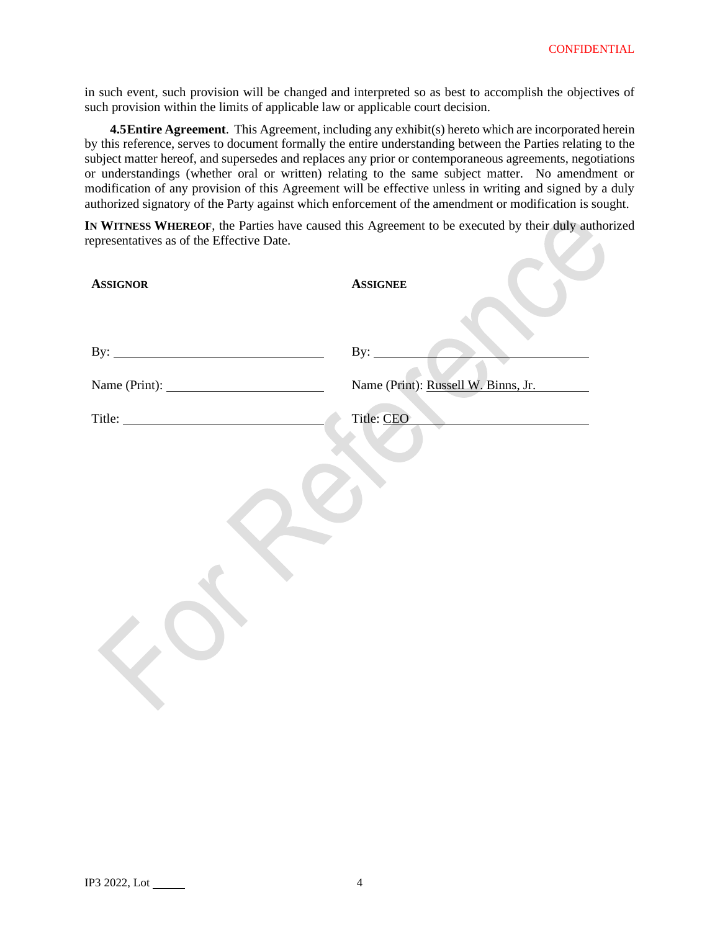**Contract** 

in such event, such provision will be changed and interpreted so as best to accomplish the objectives of such provision within the limits of applicable law or applicable court decision.

**4.5 Entire Agreement**. This Agreement, including any exhibit(s) hereto which are incorporated herein by this reference, serves to document formally the entire understanding between the Parties relating to the subject matter hereof, and supersedes and replaces any prior or contemporaneous agreements, negotiations or understandings (whether oral or written) relating to the same subject matter. No amendment or modification of any provision of this Agreement will be effective unless in writing and signed by a duly authorized signatory of the Party against which enforcement of the amendment or modification is sought.

**IN WITNESS WHEREOF**, the Parties have caused this Agreement to be executed by their duly authorized representatives as of the Effective Date.

| <b>ASSIGNOR</b>     | <b>ASSIGNEE</b>                     |
|---------------------|-------------------------------------|
|                     |                                     |
| By: $\qquad \qquad$ | By: $\qquad \qquad$                 |
|                     | Name (Print): Russell W. Binns, Jr. |
|                     | Title: CEO                          |
|                     |                                     |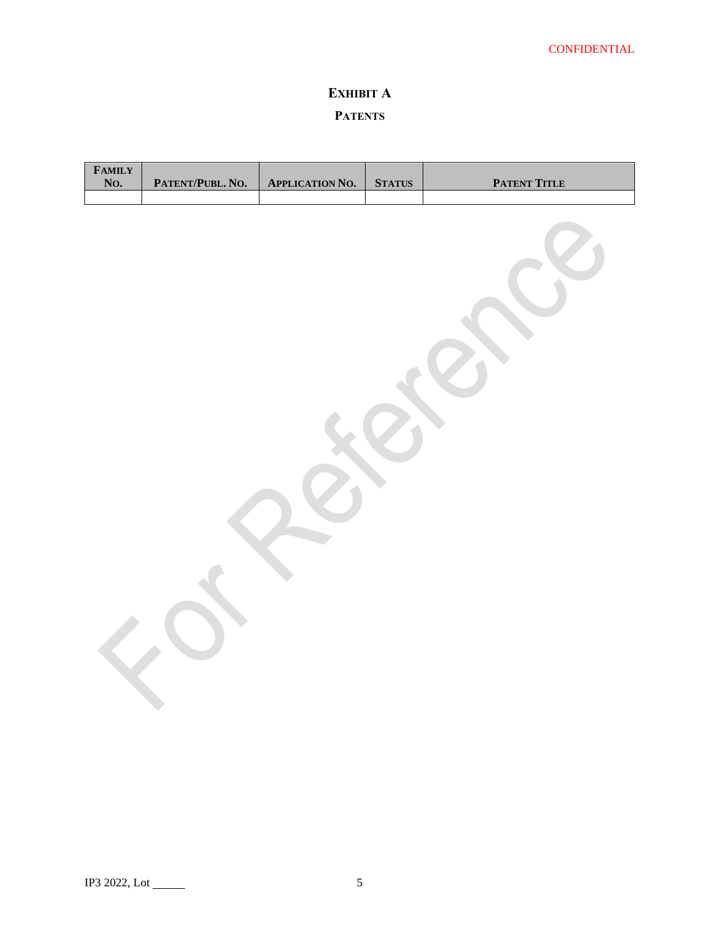# **EXHIBIT A PATENTS**

| <b>FAMILY</b><br>No. | PATENT/PUBL. NO. | <b>APPLICATION NO.</b> | <b>STATUS</b> | <b>PATENT TITLE</b> |
|----------------------|------------------|------------------------|---------------|---------------------|
|                      |                  |                        |               |                     |
|                      |                  |                        |               |                     |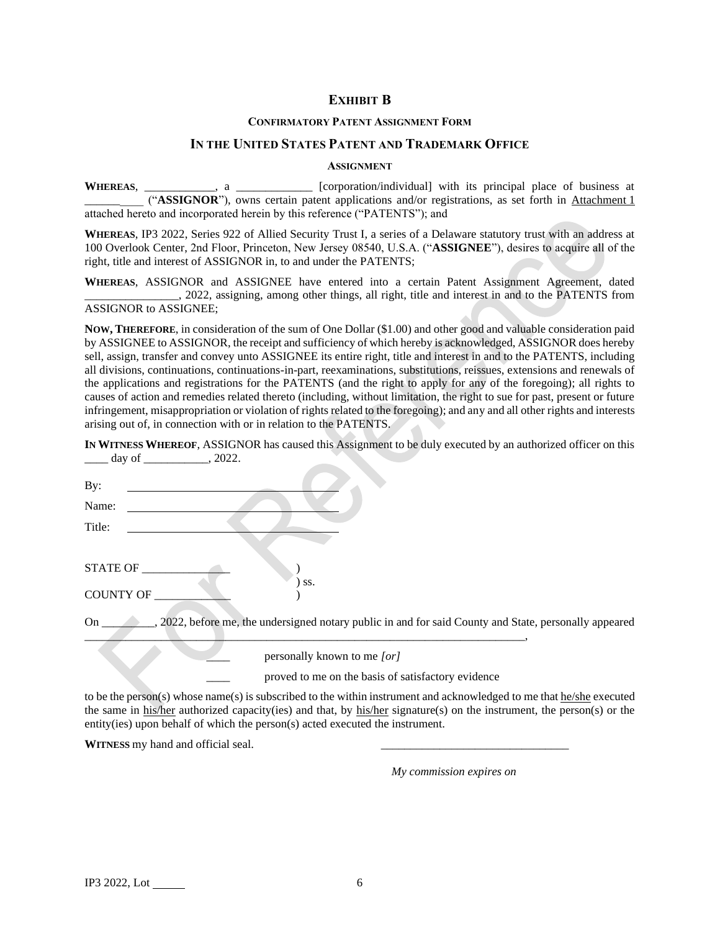# **EXHIBIT B**

### **CONFIRMATORY PATENT ASSIGNMENT FORM**

### **IN THE UNITED STATES PATENT AND TRADEMARK OFFICE**

#### **ASSIGNMENT**

WHEREAS, \_\_\_\_\_\_\_\_\_\_, a \_\_\_\_\_\_\_\_\_\_\_\_ [corporation/individual] with its principal place of business at \_\_\_\_\_\_\_\_\_\_ ("**ASSIGNOR**"), owns certain patent applications and/or registrations, as set forth in Attachment 1 attached hereto and incorporated herein by this reference ("PATENTS"); and

**WHEREAS**, IP3 2022, Series 922 of Allied Security Trust I, a series of a Delaware statutory trust with an address at 100 Overlook Center, 2nd Floor, Princeton, New Jersey 08540, U.S.A. ("**ASSIGNEE**"), desires to acquire all of the right, title and interest of ASSIGNOR in, to and under the PATENTS;

**WHEREAS**, ASSIGNOR and ASSIGNEE have entered into a certain Patent Assignment Agreement, dated \_\_\_\_\_\_\_\_\_\_\_\_\_\_\_\_, 2022, assigning, among other things, all right, title and interest in and to the PATENTS from ASSIGNOR to ASSIGNEE;

**NOW, THEREFORE**, in consideration of the sum of One Dollar (\$1.00) and other good and valuable consideration paid by ASSIGNEE to ASSIGNOR, the receipt and sufficiency of which hereby is acknowledged, ASSIGNOR does hereby sell, assign, transfer and convey unto ASSIGNEE its entire right, title and interest in and to the PATENTS, including all divisions, continuations, continuations-in-part, reexaminations, substitutions, reissues, extensions and renewals of the applications and registrations for the PATENTS (and the right to apply for any of the foregoing); all rights to causes of action and remedies related thereto (including, without limitation, the right to sue for past, present or future infringement, misappropriation or violation of rights related to the foregoing); and any and all other rights and interests arising out of, in connection with or in relation to the PATENTS.

**IN WITNESS WHEREOF**, ASSIGNOR has caused this Assignment to be duly executed by an authorized officer on this \_\_\_\_ day of \_\_\_\_\_\_\_\_\_\_\_, 2022.

| By:              |                                                                                                         |
|------------------|---------------------------------------------------------------------------------------------------------|
| Name:            |                                                                                                         |
| Title:           |                                                                                                         |
|                  |                                                                                                         |
| <b>STATE OF</b>  |                                                                                                         |
|                  | SS.                                                                                                     |
| <b>COUNTY OF</b> |                                                                                                         |
| On               | ., 2022, before me, the undersigned notary public in and for said County and State, personally appeared |
|                  | personally known to me [or]                                                                             |
|                  | proved to me on the basis of satisfactory evidence                                                      |

to be the person(s) whose name(s) is subscribed to the within instrument and acknowledged to me that  $\frac{hc}{\text{she}}$  executed the same in his/her authorized capacity(ies) and that, by his/her signature(s) on the instrument, the person(s) or the entity(ies) upon behalf of which the person(s) acted executed the instrument.

WITNESS my hand and official seal.

*My commission expires on*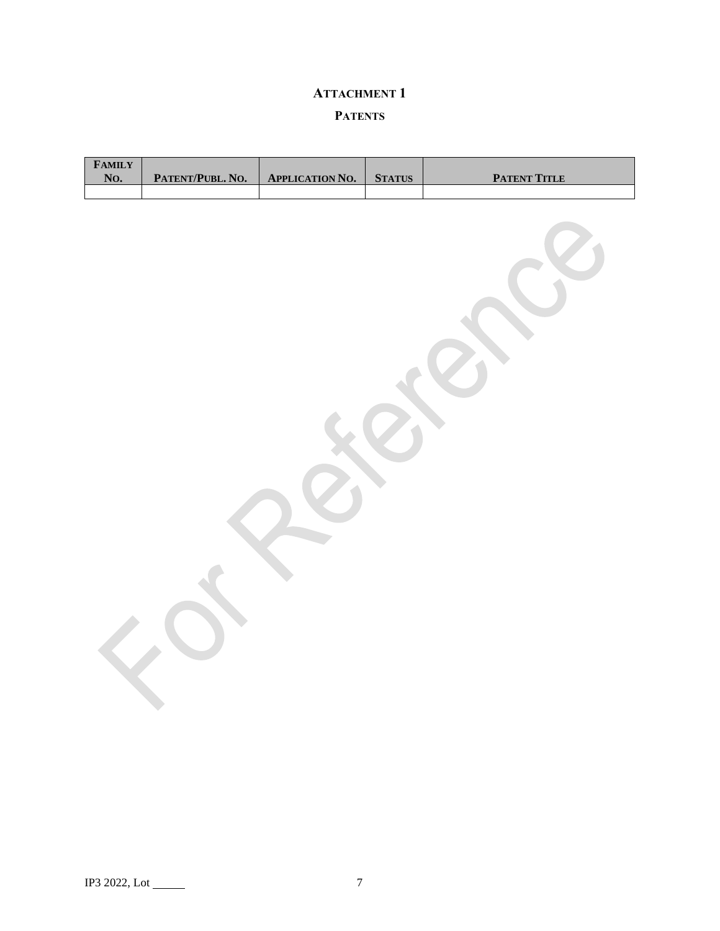# **ATTACHMENT 1**

# **PATENTS**

| $\pmb{\mathsf{F}}\mathbf{AMILY}$<br>No. | PATENT/PUBL. NO. | <b>APPLICATION NO.</b> | <b>STATUS</b> | <b>PATENT TITLE</b> |
|-----------------------------------------|------------------|------------------------|---------------|---------------------|
|                                         |                  |                        |               |                     |
|                                         |                  |                        |               |                     |